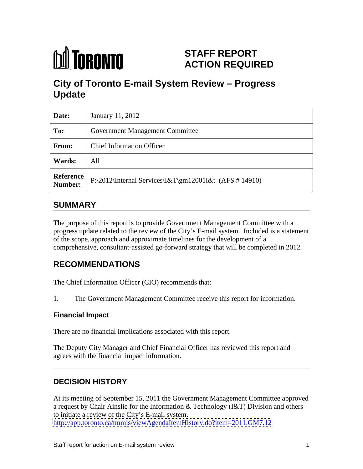

# **STAFF REPORT ACTION REQUIRED**

# **City of Toronto E-mail System Review – Progress Update**

| Date:  | January 11, 2012                                                                         |
|--------|------------------------------------------------------------------------------------------|
| To:    | <b>Government Management Committee</b>                                                   |
| From:  | <b>Chief Information Officer</b>                                                         |
| Wards: | All                                                                                      |
|        | Reference $P:\2012\left\{\text{Hernal Services}\&T\gtrsim12001\&t (AFS # 14910)\right\}$ |

## **SUMMARY**

The purpose of this report is to provide Government Management Committee with a progress update related to the review of the City's E-mail system. Included is a statement of the scope, approach and approximate timelines for the development of a comprehensive, consultant-assisted go-forward strategy that will be completed in 2012.

## **RECOMMENDATIONS**

The Chief Information Officer (CIO) recommends that:

1. The Government Management Committee receive this report for information.

### **Financial Impact**

There are no financial implications associated with this report.

The Deputy City Manager and Chief Financial Officer has reviewed this report and agrees with the financial impact information.

### **DECISION HISTORY**

At its meeting of September 15, 2011 the Government Management Committee approved a request by Chair Ainslie for the Information & Technology (I&T) Division and others to initiate a review of the City's E-mail system. <http://app.toronto.ca/tmmis/viewAgendaItemHistory.do?item=2011.GM7.12>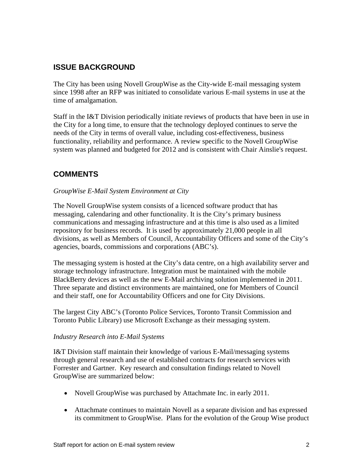### **ISSUE BACKGROUND**

The City has been using Novell GroupWise as the City-wide E-mail messaging system since 1998 after an RFP was initiated to consolidate various E-mail systems in use at the time of amalgamation.

Staff in the I&T Division periodically initiate reviews of products that have been in use in the City for a long time, to ensure that the technology deployed continues to serve the needs of the City in terms of overall value, including cost-effectiveness, business functionality, reliability and performance. A review specific to the Novell GroupWise system was planned and budgeted for 2012 and is consistent with Chair Ainslie's request.

## **COMMENTS**

#### *GroupWise E-Mail System Environment at City*

The Novell GroupWise system consists of a licenced software product that has messaging, calendaring and other functionality. It is the City's primary business communications and messaging infrastructure and at this time is also used as a limited repository for business records. It is used by approximately 21,000 people in all divisions, as well as Members of Council, Accountability Officers and some of the City's agencies, boards, commissions and corporations (ABC's).

The messaging system is hosted at the City's data centre, on a high availability server and storage technology infrastructure. Integration must be maintained with the mobile BlackBerry devices as well as the new E-Mail archiving solution implemented in 2011. Three separate and distinct environments are maintained, one for Members of Council and their staff, one for Accountability Officers and one for City Divisions.

The largest City ABC's (Toronto Police Services, Toronto Transit Commission and Toronto Public Library) use Microsoft Exchange as their messaging system.

#### *Industry Research into E-Mail Systems*

I&T Division staff maintain their knowledge of various E-Mail/messaging systems through general research and use of established contracts for research services with Forrester and Gartner. Key research and consultation findings related to Novell GroupWise are summarized below:

- Novell GroupWise was purchased by Attachmate Inc. in early 2011.
- Attachmate continues to maintain Novell as a separate division and has expressed its commitment to GroupWise. Plans for the evolution of the Group Wise product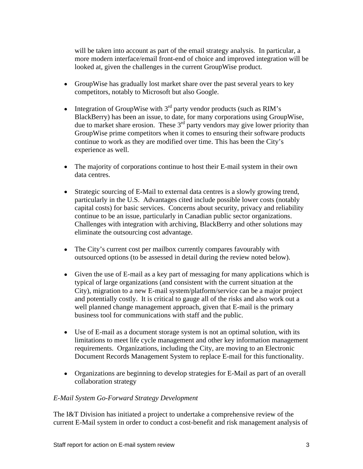will be taken into account as part of the email strategy analysis. In particular, a more modern interface/email front-end of choice and improved integration will be looked at, given the challenges in the current GroupWise product.

- GroupWise has gradually lost market share over the past several years to key competitors, notably to Microsoft but also Google.
- Integration of GroupWise with  $3<sup>rd</sup>$  party vendor products (such as RIM's BlackBerry) has been an issue, to date, for many corporations using GroupWise, due to market share erosion. These  $3<sup>rd</sup>$  party vendors may give lower priority than GroupWise prime competitors when it comes to ensuring their software products continue to work as they are modified over time. This has been the City's experience as well.
- The majority of corporations continue to host their E-mail system in their own data centres.
- $\bullet$ Strategic sourcing of E-Mail to external data centres is a slowly growing trend, particularly in the U.S. Advantages cited include possible lower costs (notably capital costs) for basic services. Concerns about security, privacy and reliability continue to be an issue, particularly in Canadian public sector organizations. Challenges with integration with archiving, BlackBerry and other solutions may eliminate the outsourcing cost advantage.
- The City's current cost per mailbox currently compares favourably with outsourced options (to be assessed in detail during the review noted below).
- Given the use of E-mail as a key part of messaging for many applications which is typical of large organizations (and consistent with the current situation at the City), migration to a new E-mail system/platform/service can be a major project and potentially costly. It is critical to gauge all of the risks and also work out a well planned change management approach, given that E-mail is the primary business tool for communications with staff and the public.
- Use of E-mail as a document storage system is not an optimal solution, with its limitations to meet life cycle management and other key information management requirements. Organizations, including the City, are moving to an Electronic Document Records Management System to replace E-mail for this functionality.
- Organizations are beginning to develop strategies for E-Mail as part of an overall collaboration strategy

#### *E-Mail System Go-Forward Strategy Development*

The I&T Division has initiated a project to undertake a comprehensive review of the current E-Mail system in order to conduct a cost-benefit and risk management analysis of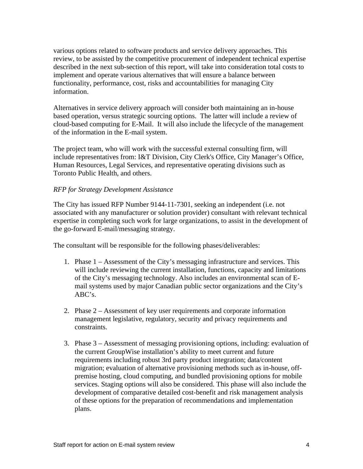various options related to software products and service delivery approaches. This review, to be assisted by the competitive procurement of independent technical expertise described in the next sub-section of this report, will take into consideration total costs to implement and operate various alternatives that will ensure a balance between functionality, performance, cost, risks and accountabilities for managing City information. Alternatives in service delivery approach will consider both maintaining an in-house

based operation, versus strategic sourcing options. The latter will include a review of cloud-based computing for E-Mail. It will also include the lifecycle of the management of the information in the E-mail system.

The project team, who will work with the successful external consulting firm, will include representatives from: I&T Division, City Clerk's Office, City Manager's Office, Human Resources, Legal Services, and representative operating divisions such as Toronto Public Health, and others.

#### *RFP for Strategy Development Assistance*

The City has issued RFP Number 9144-11-7301, seeking an independent (i.e. not associated with any manufacturer or solution provider) consultant with relevant technical expertise in completing such work for large organizations, to assist in the development of the go-forward E-mail/messaging strategy.

The consultant will be responsible for the following phases/deliverables:

- 1. Phase 1 Assessment of the City's messaging infrastructure and services. This will include reviewing the current installation, functions, capacity and limitations of the City's messaging technology. Also includes an environmental scan of E mail systems used by major Canadian public sector organizations and the City's ABC's.
- 2. Phase 2 Assessment of key user requirements and corporate information management legislative, regulatory, security and privacy requirements and constraints.
- 3. Phase 3 Assessment of messaging provisioning options, including: evaluation of the current GroupWise installation's ability to meet current and future requirements including robust 3rd party product integration; data/content migration; evaluation of alternative provisioning methods such as in-house, off premise hosting, cloud computing, and bundled provisioning options for mobile services. Staging options will also be considered. This phase will also include the development of comparative detailed cost-benefit and risk management analysis of these options for the preparation of recommendations and implementation plans.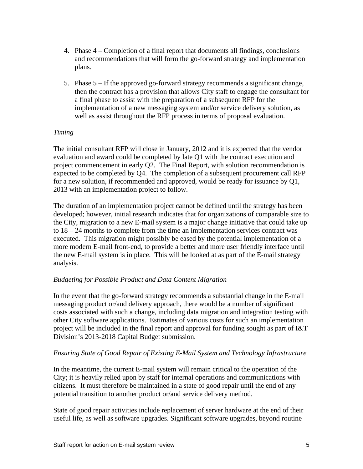- 4. Phase 4 Completion of a final report that documents all findings, conclusions and recommendations that will form the go-forward strategy and implementation plans.
- 5. Phase 5 If the approved go-forward strategy recommends a significant change, then the contract has a provision that allows City staff to engage the consultant for a final phase to assist with the preparation of a subsequent RFP for the implementation of a new messaging system and/or service delivery solution, as well as assist throughout the RFP process in terms of proposal evaluation.

#### *Timing*

The initial consultant RFP will close in January, 2012 and it is expected that the vendor evaluation and award could be completed by late Q1 with the contract execution and project commencement in early Q2. The Final Report, with solution recommendation is expected to be completed by Q4. The completion of a subsequent procurement call RFP for a new solution, if recommended and approved, would be ready for issuance by Q1, <sup>2013</sup> with an implementation project to follow. The duration of an implementation project cannot be defined until the strategy has been

developed; however, initial research indicates that for organizations of comparable size to the City, migration to a new E-mail system is a major change initiative that could take up to  $18 - 24$  months to complete from the time an implementation services contract was executed. This migration might possibly be eased by the potential implementation of a more modern E-mail front-end, to provide a better and more user friendly interface until the new E-mail system is in place. This will be looked at as part of the E-mail strategy analysis.

#### *Budgeting for Possible Product and Data Content Migration*

In the event that the go-forward strategy recommends a substantial change in the E-mail messaging product or/and delivery approach, there would be a number of significant costs associated with such a change, including data migration and integration testing with other City software applications. Estimates of various costs for such an implementation project will be included in the final report and approval for funding sought as part of I&T Division's 2013-2018 Capital Budget submission.

#### *Ensuring State of Good Repair of Existing E-Mail System and Technology Infrastructure*

In the meantime, the current E-mail system will remain critical to the operation of the City; it is heavily relied upon by staff for internal operations and communications with citizens. It must therefore be maintained in a state of good repair until the end of any potential transition to another product or/and service delivery method.

State of good repair activities include replacement of server hardware at the end of their useful life, as well as software upgrades. Significant software upgrades, beyond routine